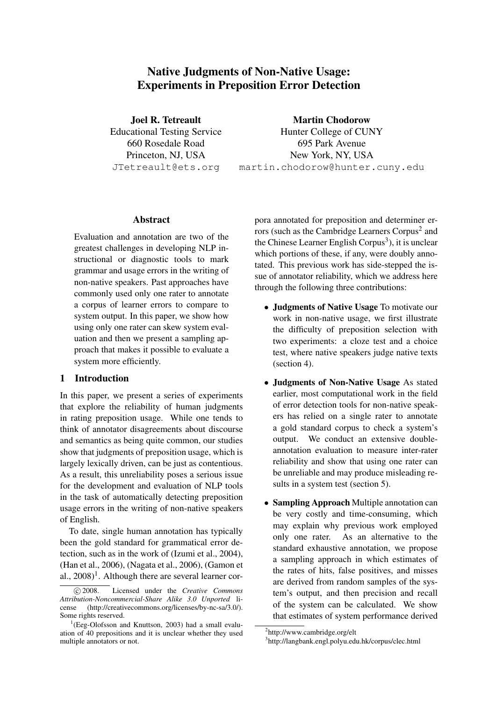# Native Judgments of Non-Native Usage: Experiments in Preposition Error Detection

Joel R. Tetreault Educational Testing Service 660 Rosedale Road Princeton, NJ, USA JTetreault@ets.org

Martin Chodorow

Hunter College of CUNY 695 Park Avenue New York, NY, USA martin.chodorow@hunter.cuny.edu

#### **Abstract**

Evaluation and annotation are two of the greatest challenges in developing NLP instructional or diagnostic tools to mark grammar and usage errors in the writing of non-native speakers. Past approaches have commonly used only one rater to annotate a corpus of learner errors to compare to system output. In this paper, we show how using only one rater can skew system evaluation and then we present a sampling approach that makes it possible to evaluate a system more efficiently.

### 1 Introduction

In this paper, we present a series of experiments that explore the reliability of human judgments in rating preposition usage. While one tends to think of annotator disagreements about discourse and semantics as being quite common, our studies show that judgments of preposition usage, which is largely lexically driven, can be just as contentious. As a result, this unreliability poses a serious issue for the development and evaluation of NLP tools in the task of automatically detecting preposition usage errors in the writing of non-native speakers of English.

To date, single human annotation has typically been the gold standard for grammatical error detection, such as in the work of (Izumi et al., 2004), (Han et al., 2006), (Nagata et al., 2006), (Gamon et al.,  $2008$ <sup>1</sup>. Although there are several learner corpora annotated for preposition and determiner errors (such as the Cambridge Learners Corpus<sup>2</sup> and the Chinese Learner English Corpus<sup>3</sup>), it is unclear which portions of these, if any, were doubly annotated. This previous work has side-stepped the issue of annotator reliability, which we address here through the following three contributions:

- Judgments of Native Usage To motivate our work in non-native usage, we first illustrate the difficulty of preposition selection with two experiments: a cloze test and a choice test, where native speakers judge native texts (section 4).
- Judgments of Non-Native Usage As stated earlier, most computational work in the field of error detection tools for non-native speakers has relied on a single rater to annotate a gold standard corpus to check a system's output. We conduct an extensive doubleannotation evaluation to measure inter-rater reliability and show that using one rater can be unreliable and may produce misleading results in a system test (section 5).
- Sampling Approach Multiple annotation can be very costly and time-consuming, which may explain why previous work employed only one rater. As an alternative to the standard exhaustive annotation, we propose a sampling approach in which estimates of the rates of hits, false positives, and misses are derived from random samples of the system's output, and then precision and recall of the system can be calculated. We show that estimates of system performance derived

c 2008. Licensed under the *Creative Commons Attribution-Noncommercial-Share Alike 3.0 Unported* license (http://creativecommons.org/licenses/by-nc-sa/3.0/). Some rights reserved.

<sup>&</sup>lt;sup>1</sup>(Eeg-Olofsson and Knuttson, 2003) had a small evaluation of 40 prepositions and it is unclear whether they used multiple annotators or not.

<sup>2</sup> http://www.cambridge.org/elt

<sup>3</sup> http://langbank.engl.polyu.edu.hk/corpus/clec.html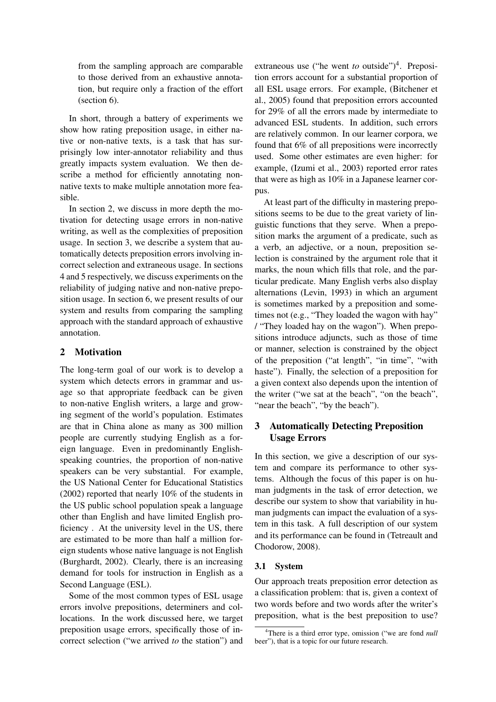from the sampling approach are comparable to those derived from an exhaustive annotation, but require only a fraction of the effort (section 6).

In short, through a battery of experiments we show how rating preposition usage, in either native or non-native texts, is a task that has surprisingly low inter-annotator reliability and thus greatly impacts system evaluation. We then describe a method for efficiently annotating nonnative texts to make multiple annotation more feasible.

In section 2, we discuss in more depth the motivation for detecting usage errors in non-native writing, as well as the complexities of preposition usage. In section 3, we describe a system that automatically detects preposition errors involving incorrect selection and extraneous usage. In sections 4 and 5 respectively, we discuss experiments on the reliability of judging native and non-native preposition usage. In section 6, we present results of our system and results from comparing the sampling approach with the standard approach of exhaustive annotation.

### 2 Motivation

The long-term goal of our work is to develop a system which detects errors in grammar and usage so that appropriate feedback can be given to non-native English writers, a large and growing segment of the world's population. Estimates are that in China alone as many as 300 million people are currently studying English as a foreign language. Even in predominantly Englishspeaking countries, the proportion of non-native speakers can be very substantial. For example, the US National Center for Educational Statistics (2002) reported that nearly 10% of the students in the US public school population speak a language other than English and have limited English proficiency . At the university level in the US, there are estimated to be more than half a million foreign students whose native language is not English (Burghardt, 2002). Clearly, there is an increasing demand for tools for instruction in English as a Second Language (ESL).

Some of the most common types of ESL usage errors involve prepositions, determiners and collocations. In the work discussed here, we target preposition usage errors, specifically those of incorrect selection ("we arrived *to* the station") and

extraneous use ("he went *to* outside")<sup>4</sup>. Preposition errors account for a substantial proportion of all ESL usage errors. For example, (Bitchener et al., 2005) found that preposition errors accounted for 29% of all the errors made by intermediate to advanced ESL students. In addition, such errors are relatively common. In our learner corpora, we found that 6% of all prepositions were incorrectly used. Some other estimates are even higher: for example, (Izumi et al., 2003) reported error rates that were as high as 10% in a Japanese learner corpus.

At least part of the difficulty in mastering prepositions seems to be due to the great variety of linguistic functions that they serve. When a preposition marks the argument of a predicate, such as a verb, an adjective, or a noun, preposition selection is constrained by the argument role that it marks, the noun which fills that role, and the particular predicate. Many English verbs also display alternations (Levin, 1993) in which an argument is sometimes marked by a preposition and sometimes not (e.g., "They loaded the wagon with hay" / "They loaded hay on the wagon"). When prepositions introduce adjuncts, such as those of time or manner, selection is constrained by the object of the preposition ("at length", "in time", "with haste"). Finally, the selection of a preposition for a given context also depends upon the intention of the writer ("we sat at the beach", "on the beach", "near the beach", "by the beach").

## 3 Automatically Detecting Preposition Usage Errors

In this section, we give a description of our system and compare its performance to other systems. Although the focus of this paper is on human judgments in the task of error detection, we describe our system to show that variability in human judgments can impact the evaluation of a system in this task. A full description of our system and its performance can be found in (Tetreault and Chodorow, 2008).

### 3.1 System

Our approach treats preposition error detection as a classification problem: that is, given a context of two words before and two words after the writer's preposition, what is the best preposition to use?

<sup>4</sup>There is a third error type, omission ("we are fond *null* beer"), that is a topic for our future research.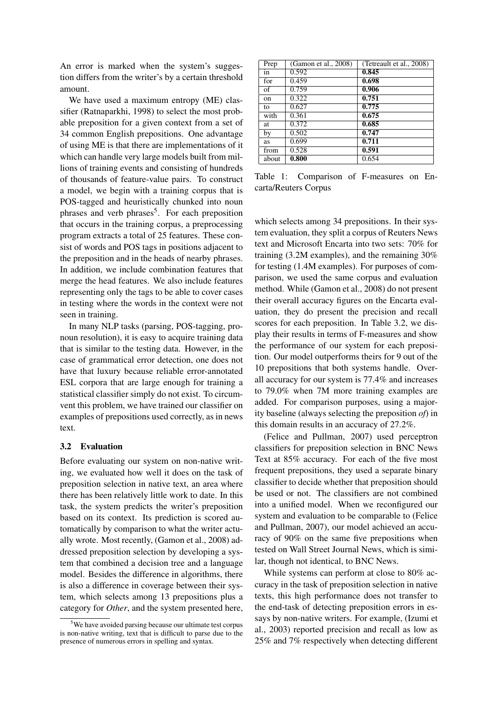An error is marked when the system's suggestion differs from the writer's by a certain threshold amount.

We have used a maximum entropy (ME) classifier (Ratnaparkhi, 1998) to select the most probable preposition for a given context from a set of 34 common English prepositions. One advantage of using ME is that there are implementations of it which can handle very large models built from millions of training events and consisting of hundreds of thousands of feature-value pairs. To construct a model, we begin with a training corpus that is POS-tagged and heuristically chunked into noun phrases and verb phrases<sup>5</sup>. For each preposition that occurs in the training corpus, a preprocessing program extracts a total of 25 features. These consist of words and POS tags in positions adjacent to the preposition and in the heads of nearby phrases. In addition, we include combination features that merge the head features. We also include features representing only the tags to be able to cover cases in testing where the words in the context were not seen in training.

In many NLP tasks (parsing, POS-tagging, pronoun resolution), it is easy to acquire training data that is similar to the testing data. However, in the case of grammatical error detection, one does not have that luxury because reliable error-annotated ESL corpora that are large enough for training a statistical classifier simply do not exist. To circumvent this problem, we have trained our classifier on examples of prepositions used correctly, as in news text.

#### 3.2 Evaluation

Before evaluating our system on non-native writing, we evaluated how well it does on the task of preposition selection in native text, an area where there has been relatively little work to date. In this task, the system predicts the writer's preposition based on its context. Its prediction is scored automatically by comparison to what the writer actually wrote. Most recently, (Gamon et al., 2008) addressed preposition selection by developing a system that combined a decision tree and a language model. Besides the difference in algorithms, there is also a difference in coverage between their system, which selects among 13 prepositions plus a category for *Other*, and the system presented here,

| Prep  | (Gamon et al., 2008) | (Tetreault et al., 2008) |
|-------|----------------------|--------------------------|
| in    | 0.592                | 0.845                    |
| for   | 0.459                | 0.698                    |
| of    | 0.759                | 0.906                    |
| on    | 0.322                | 0.751                    |
| to    | 0.627                | 0.775                    |
| with  | 0.361                | 0.675                    |
| at    | 0.372                | 0.685                    |
| by    | 0.502                | 0.747                    |
| as    | 0.699                | 0.711                    |
| from  | 0.528                | 0.591                    |
| about | 0.800                | 0.654                    |

Table 1: Comparison of F-measures on Encarta/Reuters Corpus

which selects among 34 prepositions. In their system evaluation, they split a corpus of Reuters News text and Microsoft Encarta into two sets: 70% for training (3.2M examples), and the remaining 30% for testing (1.4M examples). For purposes of comparison, we used the same corpus and evaluation method. While (Gamon et al., 2008) do not present their overall accuracy figures on the Encarta evaluation, they do present the precision and recall scores for each preposition. In Table 3.2, we display their results in terms of F-measures and show the performance of our system for each preposition. Our model outperforms theirs for 9 out of the 10 prepositions that both systems handle. Overall accuracy for our system is 77.4% and increases to 79.0% when 7M more training examples are added. For comparison purposes, using a majority baseline (always selecting the preposition *of*) in this domain results in an accuracy of 27.2%.

(Felice and Pullman, 2007) used perceptron classifiers for preposition selection in BNC News Text at 85% accuracy. For each of the five most frequent prepositions, they used a separate binary classifier to decide whether that preposition should be used or not. The classifiers are not combined into a unified model. When we reconfigured our system and evaluation to be comparable to (Felice and Pullman, 2007), our model achieved an accuracy of 90% on the same five prepositions when tested on Wall Street Journal News, which is similar, though not identical, to BNC News.

While systems can perform at close to 80% accuracy in the task of preposition selection in native texts, this high performance does not transfer to the end-task of detecting preposition errors in essays by non-native writers. For example, (Izumi et al., 2003) reported precision and recall as low as 25% and 7% respectively when detecting different

 $5$ We have avoided parsing because our ultimate test corpus is non-native writing, text that is difficult to parse due to the presence of numerous errors in spelling and syntax.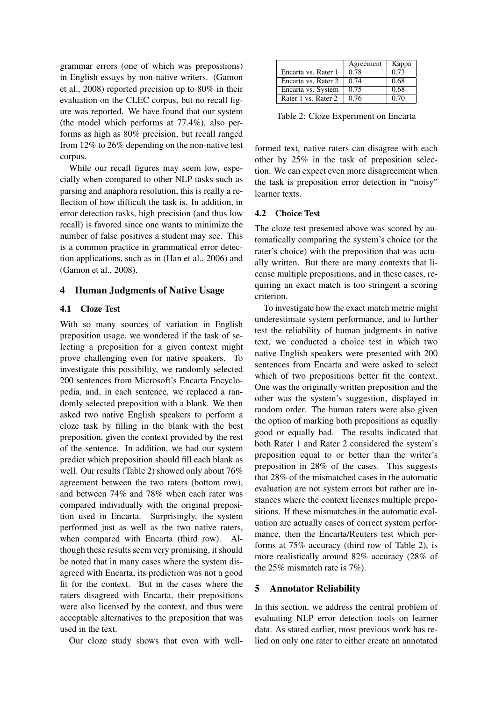grammar errors (one of which was prepositions) in English essays by non-native writers. (Gamon et al., 2008) reported precision up to 80% in their evaluation on the CLEC corpus, but no recall figure was reported. We have found that our system (the model which performs at 77.4%), also performs as high as 80% precision, but recall ranged from 12% to 26% depending on the non-native test corpus.

While our recall figures may seem low, especially when compared to other NLP tasks such as parsing and anaphora resolution, this is really a reflection of how difficult the task is. In addition, in error detection tasks, high precision (and thus low recall) is favored since one wants to minimize the number of false positives a student may see. This is a common practice in grammatical error detection applications, such as in (Han et al., 2006) and (Gamon et al., 2008).

### 4 Human Judgments of Native Usage

#### 4.1 Cloze Test

With so many sources of variation in English preposition usage, we wondered if the task of selecting a preposition for a given context might prove challenging even for native speakers. To investigate this possibility, we randomly selected 200 sentences from Microsoft's Encarta Encyclopedia, and, in each sentence, we replaced a randomly selected preposition with a blank. We then asked two native English speakers to perform a cloze task by filling in the blank with the best preposition, given the context provided by the rest of the sentence. In addition, we had our system predict which preposition should fill each blank as well. Our results (Table 2) showed only about 76% agreement between the two raters (bottom row), and between 74% and 78% when each rater was compared individually with the original preposition used in Encarta. Surprisingly, the system performed just as well as the two native raters, when compared with Encarta (third row). Although these results seem very promising, it should be noted that in many cases where the system disagreed with Encarta, its prediction was not a good fit for the context. But in the cases where the raters disagreed with Encarta, their prepositions were also licensed by the context, and thus were acceptable alternatives to the preposition that was used in the text.

Our cloze study shows that even with well-

|                     | Agreement | Kappa |
|---------------------|-----------|-------|
| Encarta vs. Rater 1 | 0.78      | 0.73  |
| Encarta vs. Rater 2 | 0.74      | 0.68  |
| Encarta vs. System  | 0.75      | 0.68  |
| Rater 1 vs. Rater 2 | 0.76      | 0.70  |

Table 2: Cloze Experiment on Encarta

formed text, native raters can disagree with each other by 25% in the task of preposition selection. We can expect even more disagreement when the task is preposition error detection in "noisy" learner texts.

#### 4.2 Choice Test

The cloze test presented above was scored by automatically comparing the system's choice (or the rater's choice) with the preposition that was actually written. But there are many contexts that license multiple prepositions, and in these cases, requiring an exact match is too stringent a scoring criterion.

To investigate how the exact match metric might underestimate system performance, and to further test the reliability of human judgments in native text, we conducted a choice test in which two native English speakers were presented with 200 sentences from Encarta and were asked to select which of two prepositions better fit the context. One was the originally written preposition and the other was the system's suggestion, displayed in random order. The human raters were also given the option of marking both prepositions as equally good or equally bad. The results indicated that both Rater 1 and Rater 2 considered the system's preposition equal to or better than the writer's preposition in 28% of the cases. This suggests that 28% of the mismatched cases in the automatic evaluation are not system errors but rather are instances where the context licenses multiple prepositions. If these mismatches in the automatic evaluation are actually cases of correct system performance, then the Encarta/Reuters test which performs at 75% accuracy (third row of Table 2), is more realistically around 82% accuracy (28% of the 25% mismatch rate is 7%).

### 5 Annotator Reliability

In this section, we address the central problem of evaluating NLP error detection tools on learner data. As stated earlier, most previous work has relied on only one rater to either create an annotated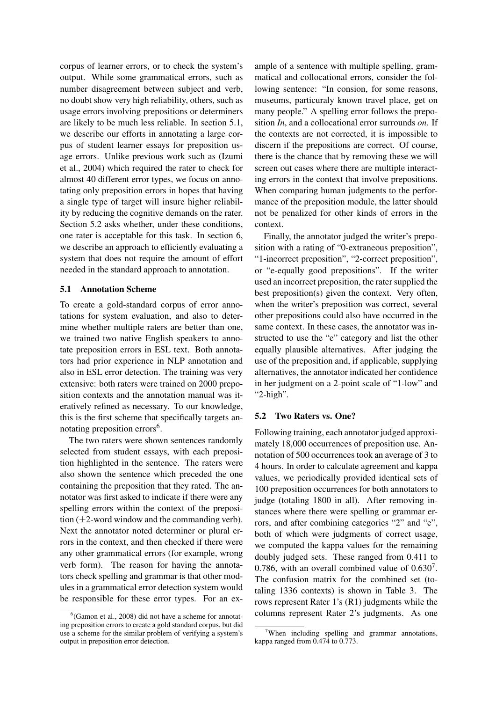corpus of learner errors, or to check the system's output. While some grammatical errors, such as number disagreement between subject and verb, no doubt show very high reliability, others, such as usage errors involving prepositions or determiners are likely to be much less reliable. In section 5.1, we describe our efforts in annotating a large corpus of student learner essays for preposition usage errors. Unlike previous work such as (Izumi et al., 2004) which required the rater to check for almost 40 different error types, we focus on annotating only preposition errors in hopes that having a single type of target will insure higher reliability by reducing the cognitive demands on the rater. Section 5.2 asks whether, under these conditions. one rater is acceptable for this task. In section 6, we describe an approach to efficiently evaluating a system that does not require the amount of effort needed in the standard approach to annotation.

#### 5.1 Annotation Scheme

To create a gold-standard corpus of error annotations for system evaluation, and also to determine whether multiple raters are better than one, we trained two native English speakers to annotate preposition errors in ESL text. Both annotators had prior experience in NLP annotation and also in ESL error detection. The training was very extensive: both raters were trained on 2000 preposition contexts and the annotation manual was iteratively refined as necessary. To our knowledge, this is the first scheme that specifically targets annotating preposition errors<sup>6</sup>.

The two raters were shown sentences randomly selected from student essays, with each preposition highlighted in the sentence. The raters were also shown the sentence which preceded the one containing the preposition that they rated. The annotator was first asked to indicate if there were any spelling errors within the context of the preposition  $(\pm 2$ -word window and the commanding verb). Next the annotator noted determiner or plural errors in the context, and then checked if there were any other grammatical errors (for example, wrong verb form). The reason for having the annotators check spelling and grammar is that other modules in a grammatical error detection system would be responsible for these error types. For an example of a sentence with multiple spelling, grammatical and collocational errors, consider the following sentence: "In consion, for some reasons, museums, particuraly known travel place, get on many people." A spelling error follows the preposition *In*, and a collocational error surrounds *on*. If the contexts are not corrected, it is impossible to discern if the prepositions are correct. Of course, there is the chance that by removing these we will screen out cases where there are multiple interacting errors in the context that involve prepositions. When comparing human judgments to the performance of the preposition module, the latter should not be penalized for other kinds of errors in the context.

Finally, the annotator judged the writer's preposition with a rating of "0-extraneous preposition", "1-incorrect preposition", "2-correct preposition", or "e-equally good prepositions". If the writer used an incorrect preposition, the rater supplied the best preposition(s) given the context. Very often, when the writer's preposition was correct, several other prepositions could also have occurred in the same context. In these cases, the annotator was instructed to use the "e" category and list the other equally plausible alternatives. After judging the use of the preposition and, if applicable, supplying alternatives, the annotator indicated her confidence in her judgment on a 2-point scale of "1-low" and "2-high".

#### 5.2 Two Raters vs. One?

Following training, each annotator judged approximately 18,000 occurrences of preposition use. Annotation of 500 occurrences took an average of 3 to 4 hours. In order to calculate agreement and kappa values, we periodically provided identical sets of 100 preposition occurrences for both annotators to judge (totaling 1800 in all). After removing instances where there were spelling or grammar errors, and after combining categories "2" and "e", both of which were judgments of correct usage, we computed the kappa values for the remaining doubly judged sets. These ranged from 0.411 to 0.786, with an overall combined value of  $0.630<sup>7</sup>$ . The confusion matrix for the combined set (totaling 1336 contexts) is shown in Table 3. The rows represent Rater 1's (R1) judgments while the columns represent Rater 2's judgments. As one

<sup>6</sup> (Gamon et al., 2008) did not have a scheme for annotating preposition errors to create a gold standard corpus, but did use a scheme for the similar problem of verifying a system's output in preposition error detection.

When including spelling and grammar annotations, kappa ranged from 0.474 to 0.773.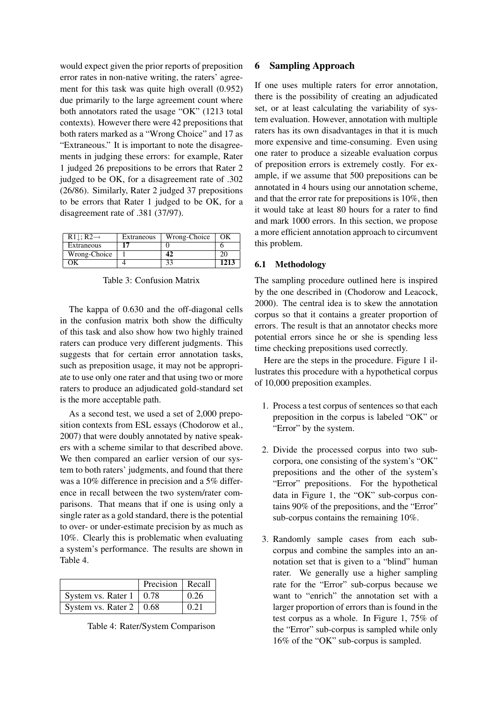would expect given the prior reports of preposition error rates in non-native writing, the raters' agreement for this task was quite high overall (0.952) due primarily to the large agreement count where both annotators rated the usage "OK" (1213 total contexts). However there were 42 prepositions that both raters marked as a "Wrong Choice" and 17 as "Extraneous." It is important to note the disagreements in judging these errors: for example, Rater 1 judged 26 prepositions to be errors that Rater 2 judged to be OK, for a disagreement rate of .302 (26/86). Similarly, Rater 2 judged 37 prepositions to be errors that Rater 1 judged to be OK, for a disagreement rate of .381 (37/97).

| $R1$ : R2 $\rightarrow$ | Extraneous | Wrong-Choice | OК   |
|-------------------------|------------|--------------|------|
| Extraneous              |            |              |      |
| Wrong-Choice            |            |              |      |
|                         |            |              | 1213 |

Table 3: Confusion Matrix

The kappa of 0.630 and the off-diagonal cells in the confusion matrix both show the difficulty of this task and also show how two highly trained raters can produce very different judgments. This suggests that for certain error annotation tasks, such as preposition usage, it may not be appropriate to use only one rater and that using two or more raters to produce an adjudicated gold-standard set is the more acceptable path.

As a second test, we used a set of 2,000 preposition contexts from ESL essays (Chodorow et al., 2007) that were doubly annotated by native speakers with a scheme similar to that described above. We then compared an earlier version of our system to both raters' judgments, and found that there was a 10% difference in precision and a 5% difference in recall between the two system/rater comparisons. That means that if one is using only a single rater as a gold standard, there is the potential to over- or under-estimate precision by as much as 10%. Clearly this is problematic when evaluating a system's performance. The results are shown in Table 4.

|                                | Precision   Recall |      |
|--------------------------------|--------------------|------|
| System vs. Rater $1 \mid 0.78$ |                    | 0.26 |
| System vs. Rater $2 \mid 0.68$ |                    | 0.21 |

Table 4: Rater/System Comparison

### 6 Sampling Approach

If one uses multiple raters for error annotation, there is the possibility of creating an adjudicated set, or at least calculating the variability of system evaluation. However, annotation with multiple raters has its own disadvantages in that it is much more expensive and time-consuming. Even using one rater to produce a sizeable evaluation corpus of preposition errors is extremely costly. For example, if we assume that 500 prepositions can be annotated in 4 hours using our annotation scheme, and that the error rate for prepositions is 10%, then it would take at least 80 hours for a rater to find and mark 1000 errors. In this section, we propose a more efficient annotation approach to circumvent this problem.

### 6.1 Methodology

The sampling procedure outlined here is inspired by the one described in (Chodorow and Leacock, 2000). The central idea is to skew the annotation corpus so that it contains a greater proportion of errors. The result is that an annotator checks more potential errors since he or she is spending less time checking prepositions used correctly.

Here are the steps in the procedure. Figure 1 illustrates this procedure with a hypothetical corpus of 10,000 preposition examples.

- 1. Process a test corpus of sentences so that each preposition in the corpus is labeled "OK" or "Error" by the system.
- 2. Divide the processed corpus into two subcorpora, one consisting of the system's "OK" prepositions and the other of the system's "Error" prepositions. For the hypothetical data in Figure 1, the "OK" sub-corpus contains 90% of the prepositions, and the "Error" sub-corpus contains the remaining 10%.
- 3. Randomly sample cases from each subcorpus and combine the samples into an annotation set that is given to a "blind" human rater. We generally use a higher sampling rate for the "Error" sub-corpus because we want to "enrich" the annotation set with a larger proportion of errors than is found in the test corpus as a whole. In Figure 1, 75% of the "Error" sub-corpus is sampled while only 16% of the "OK" sub-corpus is sampled.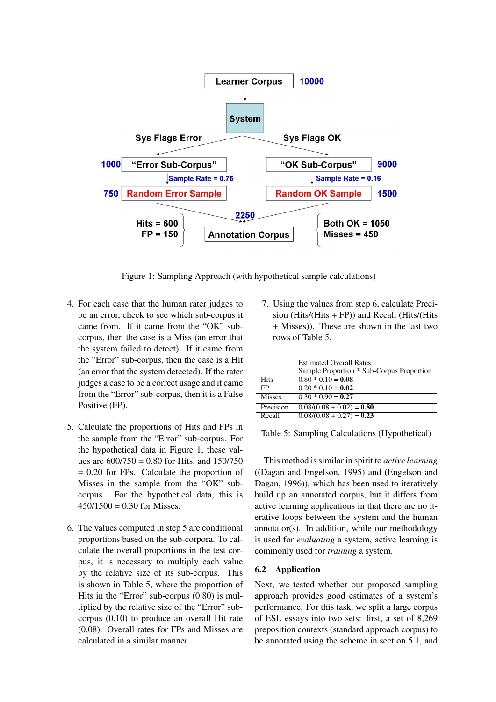

Figure 1: Sampling Approach (with hypothetical sample calculations)

- 4. For each case that the human rater judges to be an error, check to see which sub-corpus it came from. If it came from the "OK" subcorpus, then the case is a Miss (an error that the system failed to detect). If it came from the "Error" sub-corpus, then the case is a Hit (an error that the system detected). If the rater judges a case to be a correct usage and it came from the "Error" sub-corpus, then it is a False Positive (FP).
- 5. Calculate the proportions of Hits and FPs in the sample from the "Error" sub-corpus. For the hypothetical data in Figure 1, these values are  $600/750 = 0.80$  for Hits, and  $150/750$  $= 0.20$  for FPs. Calculate the proportion of Misses in the sample from the "OK" subcorpus. For the hypothetical data, this is  $450/1500 = 0.30$  for Misses.
- 6. The values computed in step 5 are conditional proportions based on the sub-corpora. To calculate the overall proportions in the test corpus, it is necessary to multiply each value by the relative size of its sub-corpus. This is shown in Table 5, where the proportion of Hits in the "Error" sub-corpus (0.80) is multiplied by the relative size of the "Error" subcorpus (0.10) to produce an overall Hit rate (0.08). Overall rates for FPs and Misses are calculated in a similar manner.

7. Using the values from step 6, calculate Precision (Hits/(Hits + FP)) and Recall (Hits/(Hits + Misses)). These are shown in the last two rows of Table 5.

|               | <b>Estimated Overall Rates</b>            |
|---------------|-------------------------------------------|
|               | Sample Proportion * Sub-Corpus Proportion |
| <b>Hits</b>   | $0.80 * 0.10 = 0.08$                      |
| FP            | $0.20 * 0.10 = 0.02$                      |
| <b>Misses</b> | $0.30 * 0.90 = 0.27$                      |
| Precision     | $0.08/(0.08 + 0.02) = 0.80$               |
| Recall        | $0.08/(0.08 + 0.27) = 0.23$               |

Table 5: Sampling Calculations (Hypothetical)

This method is similar in spirit to *active learning* ((Dagan and Engelson, 1995) and (Engelson and Dagan, 1996)), which has been used to iteratively build up an annotated corpus, but it differs from active learning applications in that there are no iterative loops between the system and the human annotator(s). In addition, while our methodology is used for *evaluating* a system, active learning is commonly used for *training* a system.

### 6.2 Application

Next, we tested whether our proposed sampling approach provides good estimates of a system's performance. For this task, we split a large corpus of ESL essays into two sets: first, a set of 8,269 preposition contexts (standard approach corpus) to be annotated using the scheme in section 5.1, and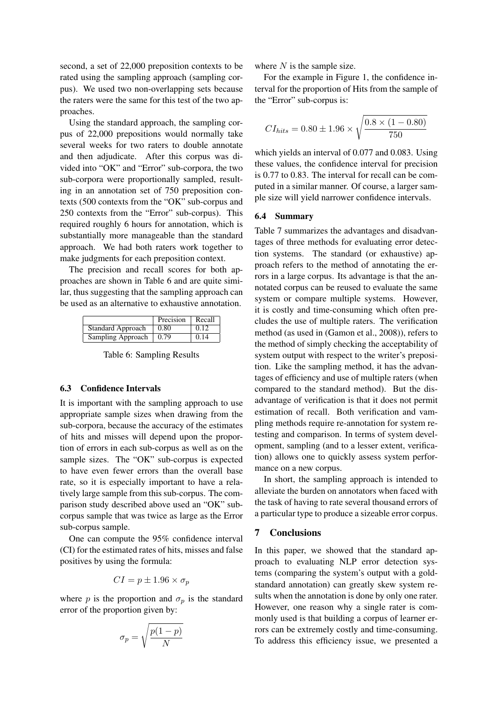second, a set of 22,000 preposition contexts to be rated using the sampling approach (sampling corpus). We used two non-overlapping sets because the raters were the same for this test of the two approaches.

Using the standard approach, the sampling corpus of 22,000 prepositions would normally take several weeks for two raters to double annotate and then adjudicate. After this corpus was divided into "OK" and "Error" sub-corpora, the two sub-corpora were proportionally sampled, resulting in an annotation set of 750 preposition contexts (500 contexts from the "OK" sub-corpus and 250 contexts from the "Error" sub-corpus). This required roughly 6 hours for annotation, which is substantially more manageable than the standard approach. We had both raters work together to make judgments for each preposition context.

The precision and recall scores for both approaches are shown in Table 6 and are quite similar, thus suggesting that the sampling approach can be used as an alternative to exhaustive annotation.

|                          | Precision | Recall |
|--------------------------|-----------|--------|
| <b>Standard Approach</b> | 0.80      | 0.12   |
| Sampling Approach        | 0.79      | 0.14   |

Table 6: Sampling Results

#### 6.3 Confidence Intervals

It is important with the sampling approach to use appropriate sample sizes when drawing from the sub-corpora, because the accuracy of the estimates of hits and misses will depend upon the proportion of errors in each sub-corpus as well as on the sample sizes. The "OK" sub-corpus is expected to have even fewer errors than the overall base rate, so it is especially important to have a relatively large sample from this sub-corpus. The comparison study described above used an "OK" subcorpus sample that was twice as large as the Error sub-corpus sample.

One can compute the 95% confidence interval (CI) for the estimated rates of hits, misses and false positives by using the formula:

$$
CI = p \pm 1.96 \times \sigma_p
$$

where p is the proportion and  $\sigma_p$  is the standard error of the proportion given by:

$$
\sigma_p = \sqrt{\frac{p(1-p)}{N}}
$$

where  $N$  is the sample size.

For the example in Figure 1, the confidence interval for the proportion of Hits from the sample of the "Error" sub-corpus is:

$$
CI_{hits} = 0.80 \pm 1.96 \times \sqrt{\frac{0.8 \times (1 - 0.80)}{750}}
$$

which yields an interval of 0.077 and 0.083. Using these values, the confidence interval for precision is 0.77 to 0.83. The interval for recall can be computed in a similar manner. Of course, a larger sample size will yield narrower confidence intervals.

#### 6.4 Summary

Table 7 summarizes the advantages and disadvantages of three methods for evaluating error detection systems. The standard (or exhaustive) approach refers to the method of annotating the errors in a large corpus. Its advantage is that the annotated corpus can be reused to evaluate the same system or compare multiple systems. However, it is costly and time-consuming which often precludes the use of multiple raters. The verification method (as used in (Gamon et al., 2008)), refers to the method of simply checking the acceptability of system output with respect to the writer's preposition. Like the sampling method, it has the advantages of efficiency and use of multiple raters (when compared to the standard method). But the disadvantage of verification is that it does not permit estimation of recall. Both verification and vampling methods require re-annotation for system retesting and comparison. In terms of system development, sampling (and to a lesser extent, verification) allows one to quickly assess system performance on a new corpus.

In short, the sampling approach is intended to alleviate the burden on annotators when faced with the task of having to rate several thousand errors of a particular type to produce a sizeable error corpus.

#### 7 Conclusions

In this paper, we showed that the standard approach to evaluating NLP error detection systems (comparing the system's output with a goldstandard annotation) can greatly skew system results when the annotation is done by only one rater. However, one reason why a single rater is commonly used is that building a corpus of learner errors can be extremely costly and time-consuming. To address this efficiency issue, we presented a